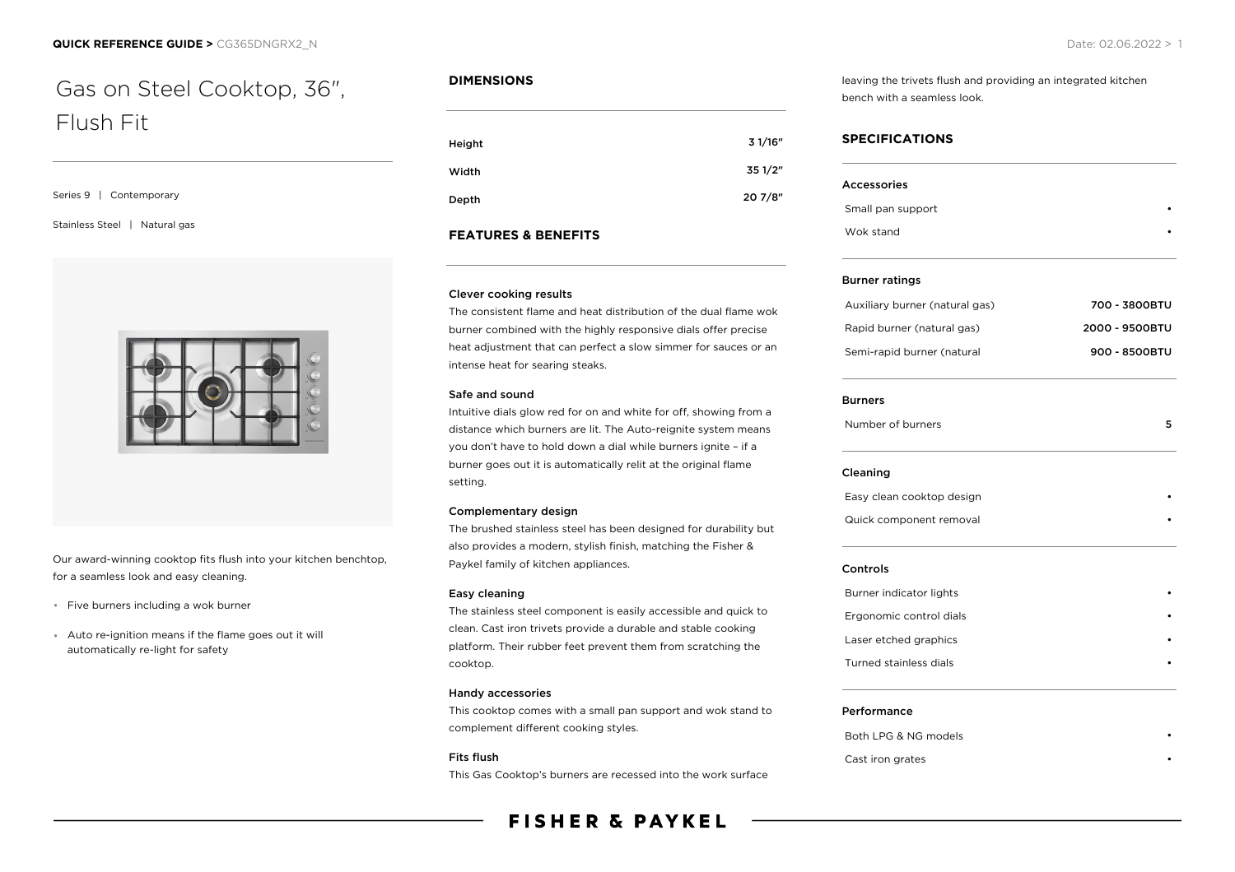# Gas on Steel Cooktop, 36", Flush Fit

#### Series 9 | Contemporary

Stainless Steel | Natural gas



Our award-winning cooktop fits flush into your kitchen benchtop, for a seamless look and easy cleaning.

- \* Five burners including a wok burner
- Auto re-ignition means if the flame goes out it will automatically re-light for safety

# **DIMENSIONS**

| Height | 3 1/16" |
|--------|---------|
| Width  | 35 1/2" |
| Depth  | 20 7/8" |

# **FEATURES & BENEFITS**

#### Clever cooking results

The consistent flame and heat distribution of the dual flame wok burner combined with the highly responsive dials offer precise heat adjustment that can perfect a slow simmer for sauces or an intense heat for searing steaks.

#### Safe and sound

Intuitive dials glow red for on and white for off, showing from a distance which burners are lit. The Auto-reignite system means you don't have to hold down a dial while burners ignite – if a burner goes out it is automatically relit at the original flame setting.

#### Complementary design

The brushed stainless steel has been designed for durability but also provides a modern, stylish finish, matching the Fisher & Paykel family of kitchen appliances.

#### Easy cleaning

The stainless steel component is easily accessible and quick to clean. Cast iron trivets provide a durable and stable cooking platform. Their rubber feet prevent them from scratching the cooktop.

#### Handy accessories

This cooktop comes with a small pan support and wok stand to complement different cooking styles.

#### Fits flush

This Gas Cooktop's burners are recessed into the work surface

# **FISHER & PAYKEL**

leaving the trivets flush and providing an integrated kitchen bench with a seamless look.

# **SPECIFICATIONS**

| <b>Accessories</b>             |                |
|--------------------------------|----------------|
| Small pan support              |                |
| Wok stand                      |                |
| <b>Burner ratings</b>          |                |
| Auxiliary burner (natural gas) | 700 - 3800BTU  |
| Rapid burner (natural gas)     | 2000 - 9500BTU |
| Semi-rapid burner (natural     | 900 - 8500BTU  |
| <b>Burners</b>                 |                |
| Number of burners              | 5              |
| Cleaning                       |                |
| Easy clean cooktop design      |                |
| Quick component removal        |                |
| Controls                       |                |
| Burner indicator lights        |                |
| Ergonomic control dials        |                |
| Laser etched graphics          |                |
| <b>Turned stainless dials</b>  |                |

## Performance

Both LPG & NG models Cast iron grates